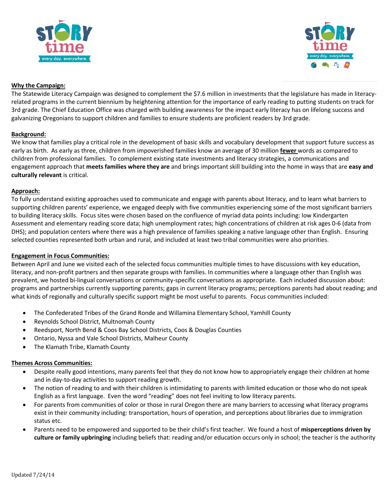



# **Why the Campaign:**

The Statewide Literacy Campaign was designed to complement the \$7.6 million in investments that the legislature has made in literacyrelated programs in the current biennium by heightening attention for the importance of early reading to putting students on track for 3rd grade. The Chief Education Office was charged with building awareness for the impact early literacy has on lifelong success and galvanizing Oregonians to support children and families to ensure students are proficient readers by 3rd grade.

## **Background:**

We know that families play a critical role in the development of basic skills and vocabulary development that support future success as early as birth. As early as three, children from impoverished families know an average of 30 million **fewer** words as compared to children from professional families. To complement existing state investments and literacy strategies, a communications and engagement approach that **meets families where they are** and brings important skill building into the home in ways that are **easy and culturally relevant** is critical.

### **Approach:**

To fully understand existing approaches used to communicate and engage with parents about literacy, and to learn what barriers to supporting children parents' experience, we engaged deeply with five communities experiencing some of the most significant barriers to building literacy skills. Focus sites were chosen based on the confluence of myriad data points including: low Kindergarten Assessment and elementary reading score data; high unemployment rates; high concentrations of children at risk ages 0-6 (data from DHS); and population centers where there was a high prevalence of families speaking a native language other than English. Ensuring selected counties represented both urban and rural, and included at least two tribal communities were also priorities.

## **Engagement in Focus Communities:**

Between April and June we visited each of the selected focus communities multiple times to have discussions with key education, literacy, and non-profit partners and then separate groups with families. In communities where a language other than English was prevalent, we hosted bi-lingual conversations or community-specific conversations as appropriate. Each included discussion about: programs and partnerships currently supporting parents; gaps in current literacy programs; perceptions parents had about reading; and what kinds of regionally and culturally specific support might be most useful to parents. Focus communities included:

- The Confederated Tribes of the Grand Ronde and Willamina Elementary School, Yamhill County
- Reynolds School District, Multnomah County
- Reedsport, North Bend & Coos Bay School Districts, Coos & Douglas Counties
- Ontario, Nyssa and Vale School Districts, Malheur County
- The Klamath Tribe, Klamath County

## **Themes Across Communities:**

- Despite really good intentions, many parents feel that they do not know how to appropriately engage their children at home and in day-to-day activities to support reading growth.
- The notion of reading to and with their children is intimidating to parents with limited education or those who do not speak English as a first language. Even the word "reading" does not feel inviting to low literacy parents.
- For parents from communities of color or those in rural Oregon there are many barriers to accessing what literacy programs exist in their community including: transportation, hours of operation, and perceptions about libraries due to immigration status etc.
- Parents need to be empowered and supported to be their child's first teacher. We found a host of **misperceptions driven by culture or family upbringing** including beliefs that: reading and/or education occurs only in school; the teacher is the authority